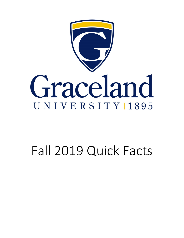

# Fall 2019 Quick Facts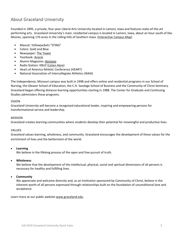### About Graceland University

Founded in 1895, a private, four-year Liberal Arts University located in Lamoni, Iowa and features state-of-the-art performing arts. Graceland University's main, residential campus is located in Lamoni, Iowa, about an hour south of Des Moines, spanning 170 acres in the rolling hills of Southern Iowa. [\(Interactive Campus Map\)](https://map.concept3d.com/?id=1071#!ct/24474,22500,22499,22498,20940,20937,0,24946,22510,22512)

- Mascot: Yellowjackets "STING"
- Colors: Gold and Blue
- Newspaper: [The Tower](http://gracelandtower.com/)
- Yearbook: *[Acacia](https://www.graceland.edu/campus-life/acacia)*
- Alumni Magazine: *[Horizons](https://www.graceland.edu/alumni/horizons)*
- Radio Station: KBUZ [\(Listen Here\)](http://www.graceland.edu/campus-life/kbuz-radio)
- Heart of America Athletic Conference (HEART)
- National Association of Intercollegiate Athletics (NAIA)

The Independence, Missouri campus was built in 1998 and offers online and residential programs in our School of Nursing, the Gleazer School of Education, the C.H. Sandage School of Business and the Community of Christ Seminary. Graceland began offering distance learning opportunities starting in 1988. The Center for Graduate and Continuing Studies administers these programs.

### VISION

Graceland University will become a recognized educational leader, inspiring and empowering persons for transformational service and leadership.

### MISSION

Graceland creates learning communities where students develop their potential for meaningful and productive lives.

### VALUES

Graceland values learning, wholeness, and community. Graceland encourages the development of these values for the enrichment of lives and the betterment of the world.

### • **Learning**

We believe in the lifelong process of the open and free pursuit of truth.

### • **Wholeness**

We believe that the development of the intellectual, physical, social and spiritual dimensions of all persons is necessary for healthy and fulfilling lives.

### • **Community**

We appreciate and welcome diversity and, as an institution sponsored by Community of Christ, believe in the inherent worth of all persons expressed through relationships built on the foundation of unconditional love and acceptance.

Learn more at our public website [www.graceland.edu.](http://www.graceland.edu/)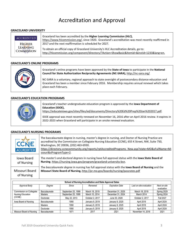# Accreditation and Approval

#### **GRACELAND UNIVERSITY**

| <b>ACCREDITED</b><br><b>HIGHER</b> | Graceland has been accredited by the Higher Learning Commission (HLC),<br>https://www.hlcommission.org/, since 1920. Graceland's accreditation was most recently reaffirmed in<br>2017 and the next reaffirmation is scheduled for 2027. |
|------------------------------------|------------------------------------------------------------------------------------------------------------------------------------------------------------------------------------------------------------------------------------------|
| <b>LEARNING</b>                    | To obtain an official copy of Graceland University's HLC Accreditation details, go to:                                                                                                                                                   |
| <b>COMMISSION</b>                  | http://hlcommission.org/component/directory/?Action=ShowBasic&Itemid=&instid=1233⟨=en.                                                                                                                                                   |

#### **GRACELAND'S ONLINE PROGRAMS**



Graceland's online programs have been approved by the **State of Iowa** to participate in the **National Council for State Authorization Reciprocity Agreements (NC-SARA),** <http://nc-sara.org/>

NC-SARA is a voluntary, regional approach to state oversight of postsecondary distance education and Graceland has been a member since February 2016. Membership requires annual renewal which takes place each February.

### **GRACELAND'S EDUCATION PROGRAMS**



Graceland's teacher undergraduate education program is approved by the **Iowa Department of Education (IDOE),** 

[https://educateiowa.gov/sites/files/ed/documents/Directory%20Ed%20Prep%20Jan%202017.pdf.](https://educateiowa.gov/sites/files/ed/documents/Directory%20Ed%20Prep%20Jan%202017.pdf)

IDOE approval was most recently renewed on November 16, 2016 after an April 2016 review. It expires in 2022-2023 when Graceland will participate in an onsite renewal evaluation.

#### The baccalaureate degree in nursing, master's degree in nursing, and Doctor of Nursing Practice are accredited by the Commission on Collegiate Nursing Education (CCNE), 655 K Street, NW, Suite 750, Washington, DC 20036, (202) 463-6930. [https://directory.ccnecommunity.org/reports/rptAccreditedPrograms\\_New.asp?state=MO&sFullName=Mi](https://directory.ccnecommunity.org/reports/rptAccreditedPrograms_New.asp?state=MO&sFullName=Missouri&sProgramType=2) **ACCREDITEI** [ssouri&sProgramType=2.](https://directory.ccnecommunity.org/reports/rptAccreditedPrograms_New.asp?state=MO&sFullName=Missouri&sProgramType=2) Iowa Board The *master's and doctoral degrees* in nursing have full approval status with the **Iowa State Board of Nursing**[. https://nursing.iowa.gov/program/graceland-university-bsn.](https://nursing.iowa.gov/program/graceland-university-bsn) of Nursing The *baccalaureate degree* in nursing has full approval status with the **Iowa Board of Nursing** and the Missouri Board **Missouri State Board of Nursing,** <http://pr.mo.gov/boards/nursing/passrates.pdf> of Nursing **School of Nursing Accreditation and State Approval Dates**

#### **GRACELAND'S NURSING PROGRAMS**

| School of Nursing Accreditation and State Approval Dates |               |                    |                 |                        |                         |                            |  |  |  |
|----------------------------------------------------------|---------------|--------------------|-----------------|------------------------|-------------------------|----------------------------|--|--|--|
| Approval Body                                            | Degree        | Since              | Renewed         | <b>Expiration Date</b> | Last on-site evaluation | Next on-site<br>evaluation |  |  |  |
| Commission on Collegiate                                 | Baccalaureate | September 25, 1999 | March 18, 2019  | December 31, 2029      | March 18, 2019          | Spring 2029                |  |  |  |
| Nursing Education                                        | Masters       | September 25, 1999 | March 10, 2014  | December 31, 2024      | March 2014              | Spring 2024                |  |  |  |
| (CCNE)                                                   | Doctorate     | May 22, 2013       | October 2, 2017 | June 30, 2028          | October 2, 2017         | <b>Fall 2027</b>           |  |  |  |
| lowa Board of Nursing                                    | Baccalaureate | 1990               | January 9, 2019 | January 9, 2025        | April 2019              | April 2024                 |  |  |  |
|                                                          | Masters       | 1990               | January 9, 2019 | January 9, 2025        | April 2018              | April 2024                 |  |  |  |
|                                                          | Doctorate     | 1990               | January 9, 2019 | January 9, 2025        | April 2018              | April 2024                 |  |  |  |
| Missouri Board of Nursing                                | Baccalaureate | 1971               | 2017            | 2021                   | November 14, 2016       | 2021                       |  |  |  |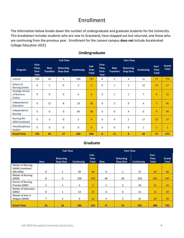# Enrollment

The information below breaks down the number of undergraduate and graduate students for the University. This breakdown includes students who are new to Graceland, have stopped out but returned, and those who are continuing from the previous year. Enrollment for the Lamoni campus **does not** include Accelerated College Education (ACE).

|                                           |                                   |                                | <b>Full-Time</b>                     |                   |                                      | <b>Part-Time</b>                  |                                |                                      |                   |                                      |                       |
|-------------------------------------------|-----------------------------------|--------------------------------|--------------------------------------|-------------------|--------------------------------------|-----------------------------------|--------------------------------|--------------------------------------|-------------------|--------------------------------------|-----------------------|
| Program                                   | First-<br>Time,<br>First-<br>Year | <b>New</b><br><b>Transfers</b> | <b>Returning</b><br><b>Stop Outs</b> | <b>Continuing</b> | Full-<br><b>Time</b><br><b>Total</b> | First-<br>Time,<br>First-<br>Year | <b>New</b><br><b>Transfers</b> | <b>Returning</b><br><b>Stop Outs</b> | <b>Continuing</b> | Part-<br><b>Time</b><br><b>Total</b> | Grand<br><b>Total</b> |
| Lamoni                                    | 193                               | 53                             | 5                                    | 506               | 757                                  | $\mathbf 0$                       | $\overline{2}$                 | 4                                    | 11                | 17                                   | 774                   |
| School of<br><b>Nursing Online</b>        | $\mathbf 0$                       | $\mathbf{1}$                   | $\mathbf 0$                          | $\overline{2}$    | 3                                    | $\mathbf 0$                       | $\mathbf{1}$                   | $\mathbf{1}$                         | 12                | 14                                   | 17                    |
| Sandage School<br>of Business<br>Online   | $\mathbf 0$                       | $\mathbf 0$                    | $\mathbf 0$                          | 6                 | $6\phantom{1}$                       | $\mathbf 0$                       | 1                              | $\mathbf{1}$                         | $\overline{7}$    | 9                                    | 15                    |
| Independence<br>Education                 | $\mathbf 0$                       | 11                             | 8                                    | 19                | 38                                   | $\mathbf 0$                       | 3                              | 0                                    | 4                 | $\overline{7}$                       | 45                    |
| Independence<br><b>Nursing</b>            | $\mathbf 0$                       | $\mathbf{0}$                   | $\mathbf 0$                          | 90                | 90                                   | $\mathbf 0$                       | $\mathbf 0$                    | 4                                    | $\mathbf 0$       | $\overline{4}$                       | 94                    |
| <b>Nursing RN-</b><br><b>MSN Combined</b> | $\mathbf 0$                       | $\overline{2}$                 | $\mathbf 0$                          | $\overline{2}$    | $\overline{4}$                       | $\mathbf 0$                       | 4                              | $\overline{2}$                       | 17                | 23                                   | 27                    |
| Interdisciplinary<br><b>Studies</b>       | $\mathbf 0$                       | $\mathbf 0$                    | $\mathbf 0$                          | $\mathbf 0$       | $\mathbf{0}$                         | $\mathbf 0$                       | $\mathbf 0$                    | 0                                    | $\mathbf{1}$      | $\mathbf{1}$                         | $\mathbf{1}$          |
| <b>Grand Total</b>                        | 193                               | 69                             | 17                                   | 636               | 898                                  | $\mathbf{0}$                      | 11                             | 8                                    | 56                | 75                                   | 973                   |

### **Undergraduate**

### **Graduate**

|                                     |            | <b>Full-Time</b>                     |                   |                                      | <b>Part-Time</b> |                                      |                   |                                      |                              |
|-------------------------------------|------------|--------------------------------------|-------------------|--------------------------------------|------------------|--------------------------------------|-------------------|--------------------------------------|------------------------------|
|                                     | <b>New</b> | <b>Returning</b><br><b>Stop-Outs</b> | <b>Continuing</b> | Full-<br><b>Time</b><br><b>Total</b> | <b>New</b>       | <b>Returning</b><br><b>Stop-Outs</b> | <b>Continuing</b> | Part-<br><b>Time</b><br><b>Total</b> | <b>Grand</b><br><b>Total</b> |
| Master of Nursing                   |            |                                      |                   |                                      |                  |                                      |                   |                                      |                              |
| (MSN) Combined<br>(RN-MSN)          | 0          | $\mathbf{1}$                         | 39                | 40                                   | 0                | 1                                    | 27                | 28                                   | 68                           |
| <b>Master of Nursing</b><br>(MSN)   | 8          | 9                                    | 226               | 243                                  | 66               | 20                                   | 218               | 304                                  | 547                          |
| Doctor of Nursing<br>Practice (DNP) | 1          | $\mathbf{1}$                         | 3                 | 5                                    | $\mathbf{1}$     | $\overline{2}$                       | 10                | 13                                   | 18                           |
| Master of Education<br>(MED)        | 0          | 1                                    | 14                | 15                                   | 0                | 0                                    | 15                | 15                                   | 30                           |
| Master of Arts in<br>Religion (MAR) | 7          | 4                                    | 0                 | 11                                   | 4                | $\overline{2}$                       | 22                | 28                                   | 39                           |
| <b>Grand Total</b>                  | 16         | 16                                   | 282               | 314                                  | 71               | 25                                   | 292               | 388                                  | 702                          |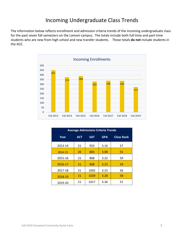## Incoming Undergraduate Class Trends

The information below reflects enrollment and admission criteria trends of the incoming undergraduate class for the past seven fall semesters on the Lamoni campus. The totals include both full-time and part-time students who are new from high school and new transfer students. These totals **do not** include students in the ACE.



| <b>Average Admissions Criteria Trends</b> |                          |      |            |                   |  |  |  |  |  |
|-------------------------------------------|--------------------------|------|------------|-------------------|--|--|--|--|--|
| Year                                      | <b>ACT</b><br><b>SAT</b> |      | <b>GPA</b> | <b>Class Rank</b> |  |  |  |  |  |
| 2013-14                                   | 21                       | 933  | 3.16       | 57                |  |  |  |  |  |
| 2014-15                                   | 20                       | 883  | 3.08       | 55                |  |  |  |  |  |
| 2015-16                                   | 21                       | 868  | 3.22       | 59                |  |  |  |  |  |
| 2016-17                                   | 21                       | 908  | 3.23       | 59                |  |  |  |  |  |
| 2017-18                                   | 21                       | 1002 | 3.23       | 56                |  |  |  |  |  |
| 2018-19                                   | 21                       | 1029 | 3.28       | 58                |  |  |  |  |  |
| 2019-20                                   | 21                       | 1017 | 3.36       | 51                |  |  |  |  |  |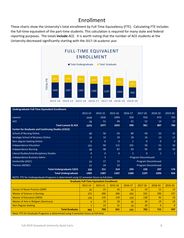# Enrollment

These charts show the University's total enrollment by Full Time Equivalency (FTE). Calculating FTE includes the full-time equivalent of the part-time students. This calculation is required for many state and federal reporting purposes. The totals **include** ACE. It is worth noting that the number of ACE students at the University decreased significantly starting with the 2017-18 academic year.



| Undergraduate Full-Time Equivalent Enrollment                                            |                |                                                 |              |                |                             |                |              |  |
|------------------------------------------------------------------------------------------|----------------|-------------------------------------------------|--------------|----------------|-----------------------------|----------------|--------------|--|
|                                                                                          | 2013-14        | 2014-15                                         | 2015-16      | 2016-17        | 2017-18                     | 2018-19        | 2019-20      |  |
| Lamoni                                                                                   | 1039           | 1026                                            | 1003         | 950            | 910                         | 873            | 763          |  |
| <b>ACE</b>                                                                               | 36             | 51                                              | 49           | 41             | 52                          | 14             | 17           |  |
| <b>Total Lamoni &amp; ACE</b>                                                            | 1075           | 1077                                            | 1053         | 990            | 961                         | 887            | 780          |  |
| <b>Center for Graduate and Continuing Studies (CGCS)</b>                                 |                |                                                 |              |                |                             |                |              |  |
| <b>School of Nursing Online</b>                                                          | 60             | 56                                              | 63           | 80             | 69                          | 53             | 31           |  |
| Sandage School of Business Online                                                        | 14             | 14                                              | 19           | 18             | 16                          | 13             | 11           |  |
| Non-degree Seeking Online                                                                | $\mathbf{0}$   | 6                                               | $\Omega$     | $\overline{1}$ | $\mathbf{0}$                | $\Omega$       | $\Omega$     |  |
| <b>Independence Education</b>                                                            | 101            | 94                                              | 111          | 101            | 56                          | 51             | 43           |  |
| <b>Independence Nursing</b>                                                              | 98             | 98                                              | 87           | 93             | 95                          | 89             | 92           |  |
| Liberal Studies/Interdisciplinary Studies                                                | $\mathbf{0}$   | $\mathbf{0}$                                    | $\mathbf{0}$ | $\overline{2}$ | $\Omega$                    | $\mathbf{1}$   | $\mathbf{1}$ |  |
| Independence Business Admn                                                               | $\overline{7}$ | $\overline{3}$                                  |              |                | <b>Program Discontinued</b> |                |              |  |
| Centerville (IHCC)                                                                       | 24             | 17                                              | 12           |                | <b>Program Discontinued</b> |                |              |  |
| Trenton (NCMC)                                                                           | 27             | 24                                              | 23           |                | <b>Program Discontinued</b> |                |              |  |
| <b>Total Undergraduate CGCS</b>                                                          | 330            | 311                                             | 314          | 294            | 236                         | 207            | 176          |  |
| <b>Total Undergraduate</b>                                                               | 1405           | 1387                                            | 1367         | 1284           | 1197                        | 1094           | 956          |  |
| NOTE: FTE for Undergraduate Programs is determined using 12 semester hours as full-time. |                |                                                 |              |                |                             |                |              |  |
|                                                                                          |                | <b>Graduate Full-Time Equivalent Enrollment</b> |              |                |                             |                |              |  |
|                                                                                          | 2013-14        | 2014-15                                         | 2015-16      | 2016-17        | 2017-18                     | 2018-19        | 2019-20      |  |
| Doctor of Nurse Practice (DNP)                                                           | 25             | 23                                              | 16           | 20             | 23                          | 15             | 13           |  |
| <b>Master of Science in Nursing</b>                                                      | 475            | 494                                             | 466          | 493            | 555                         | 590            | 537          |  |
| <b>Master of Education (MED)</b>                                                         | 150            | 145                                             | 120          | 129            | 130                         | 92             | 24           |  |
| <b>Master of Arts in Religion (Seminary)</b>                                             | 4              | 19                                              | 18           | 20             | 34                          | 19             | 23           |  |
| <b>Non-Degree Seeking</b>                                                                | $\overline{7}$ | 22                                              | 31           | 18             | 20                          | $\overline{0}$ | $\Omega$     |  |
| <b>Total Graduate</b>                                                                    | 661            | 704                                             | 651          | 680            | 762                         | 715            | 597          |  |
| Note: FTE for Graduate Programs is determined using 5 semester hours as full-time.       |                |                                                 |              |                |                             |                |              |  |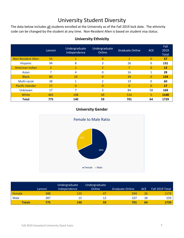# University Student Diversity

The data below includes all students enrolled at the University as of the Fall 2019 lock date. The ethnicity code can be changed by the student at any time. Non-Resident Alien is based on student visa status.

|                           | Lamoni         | Undergraduate<br>Independence | Undergraduate<br>Online | <b>Graduate Online</b> | <b>ACE</b> | Fall<br>2019<br>Total |
|---------------------------|----------------|-------------------------------|-------------------------|------------------------|------------|-----------------------|
| <b>Non-Resident Alien</b> | 55             | 1                             | 0                       |                        | 0          | 57                    |
| Hispanic                  | 94             | 8                             | 3                       | 26                     | 0          | 131                   |
| <b>American Indian</b>    | $\overline{2}$ | 1                             | $\overline{2}$          |                        | $\Omega$   | 12                    |
| Asian                     | 7              | 4                             | $\Omega$                | 16                     | 1          | 28                    |
| <b>Black</b>              | 80             | 10                            | $\Omega$                | 34                     | $\Omega$   | 124                   |
| Multi-racial              | 38             | 1                             | $\mathcal{P}$           | 19                     | $\Omega$   | 60                    |
| <b>Pacific Islander</b>   | 17             | $\Omega$                      | $\Omega$                |                        | 0          | 17                    |
| Unknown                   | 17             | 7                             | 3                       | 84                     | 58         | 169                   |
| White                     | 465            | 108                           | 49                      | 514                    | 5.         | 1140                  |
| <b>Total</b>              | 775            | 140                           | 59                      | 701                    | 64         | 1739                  |

### **University Ethnicity**

### **University Gender**



|        | Lamoni | Undergraduate<br>Independence | Undergraduate<br>Online | Graduate Online | <b>ACE</b> | Fall 2019 Total |
|--------|--------|-------------------------------|-------------------------|-----------------|------------|-----------------|
| Female | 388    | 125                           | 47                      | 594             | 26         | 1179            |
| Male   | 387    | 15                            | 12                      | 107             | 38         | 559             |
| Totals | 775    | 140                           | 59                      | 701             | 64         | 1739            |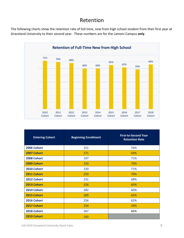### Retention

The following charts show the retention rate of full-time, new from high school student from their first year at Graceland University to their second year. These numbers are for the Lamoni Campus **only**.



| <b>Entering Cohort</b> | <b>Beginning Enrollment</b> | <b>First-to-Second Year</b><br><b>Retention Rate</b> |
|------------------------|-----------------------------|------------------------------------------------------|
| 2006 Cohort            | 251                         | 76%                                                  |
| 2007 Cohort            | 271                         | 69%                                                  |
| 2008 Cohort            | 197                         | 71%                                                  |
| 2009 Cohort            | 220                         | 70%                                                  |
| 2010 Cohort            | 220                         | 71%                                                  |
| 2011 Cohort            | 259                         | 70%                                                  |
| 2012 Cohort            | 231                         | 68%                                                  |
| 2013 Cohort            | 326                         | 60%                                                  |
| 2014 Cohort            | 282                         | 60%                                                  |
| 2015 Cohort            | 289                         | 65%                                                  |
| 2016 Cohort            | 256                         | 62%                                                  |
| 2017 Cohort            | 254                         | 59%                                                  |
| 2018 Cohort            | 267                         | 66%                                                  |
| 2019 Cohort            | 193                         |                                                      |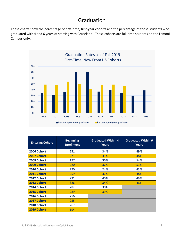### Graduation

These charts show the percentage of first-time, first-year cohorts and the percentage of those students who graduated with 4 and 6 years of starting with Graceland. These cohorts are full-time students on the Lamoni Campus **only**.



| <b>Entering Cohort</b> | <b>Beginning</b><br><b>Enrollment</b> | <b>Graduated Within 4</b><br><b>Years</b> | <b>Graduated Within 6</b><br><b>Years</b> |
|------------------------|---------------------------------------|-------------------------------------------|-------------------------------------------|
| 2006 Cohort            | 251                                   | 34%                                       | 49%                                       |
| 2007 Cohort            | 271                                   | 31%                                       | 48%                                       |
| 2008 Cohort            | 197                                   | 36%                                       | 54%                                       |
| 2009 Cohort            | 220                                   | 32%                                       | 51%                                       |
| 2010 Cohort            | 220                                   | 24%                                       | 43%                                       |
| 2011 Cohort            | 259                                   | 37%                                       | 48%                                       |
| 2012 Cohort            | 231                                   | 40%                                       | 49%                                       |
| 2013 Cohort            | 326                                   | 34%                                       | 46%                                       |
| 2014 Cohort            | 282                                   | 30%                                       |                                           |
| 2015 Cohort            | 289                                   | 39%                                       |                                           |
| 2016 Cohort            | 256                                   |                                           |                                           |
| 2017 Cohort            | 255                                   |                                           |                                           |
| 2018 Cohort            | 267                                   |                                           |                                           |
| 2019 Cohort            | 194                                   |                                           |                                           |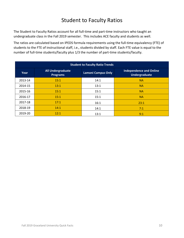# Student to Faculty Ratios

The Student to Faculty Ratios account for all full-time and part-time instructors who taught an undergraduate class in the Fall 2019 semester. This includes ACE faculty and students as well.

The ratios are calculated based on IPEDS formula requirements using the full-time equivalency (FTE) of students to the FTE of instructional staff, i.e., students divided by staff. Each FTE value is equal to the number of full-time students/faculty plus 1/3 the number of part-time students/faculty.

|         | <b>Student to Faculty Ratio Trends</b>      |                           |                                                        |  |  |  |  |  |  |  |
|---------|---------------------------------------------|---------------------------|--------------------------------------------------------|--|--|--|--|--|--|--|
| Year    | <b>All Undergraduate</b><br><b>Programs</b> | <b>Lamoni Campus Only</b> | <b>Independence and Online</b><br><b>Undergraduate</b> |  |  |  |  |  |  |  |
| 2013-14 | 15:1                                        | 14:1                      | <b>NA</b>                                              |  |  |  |  |  |  |  |
| 2014-15 | 13:1                                        | 13:1                      | <b>NA</b>                                              |  |  |  |  |  |  |  |
| 2015-16 | 15:1                                        | 15:1                      | <b>NA</b>                                              |  |  |  |  |  |  |  |
| 2016-17 | 15:1                                        | 15:1                      | <b>NA</b>                                              |  |  |  |  |  |  |  |
| 2017-18 | 17:1                                        | 16:1                      | 23:1                                                   |  |  |  |  |  |  |  |
| 2018-19 | 14:1                                        | 14:1                      | 7:1                                                    |  |  |  |  |  |  |  |
| 2019-20 | 12:1                                        | 13:1                      | 9:1                                                    |  |  |  |  |  |  |  |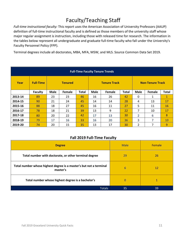# Faculty/Teaching Staff

*Full-time instructional faculty:* This report uses the American Association of University Professors (AAUP) definition of full-time instructional faculty and is defined as those members of the university staff whose major regular assignment is instruction, including those with released time for research. The information in the tables below represent all undergraduate and graduate full-time faculty who fall under the University's Faculty Personnel Policy (FPP).

Terminal degrees include all doctorates, MBA, MFA, MSW, and MLS. Source Common Data Set 2019.

| <b>Full-Time Faculty Tenure Trends</b> |                  |                |        |              |      |                     |              |                         |        |              |
|----------------------------------------|------------------|----------------|--------|--------------|------|---------------------|--------------|-------------------------|--------|--------------|
| Year                                   | <b>Full-Time</b> | <b>Tenured</b> |        |              |      | <b>Tenure Track</b> |              | <b>Non-Tenure Track</b> |        |              |
|                                        | <b>Faculty</b>   | <b>Male</b>    | Female | <b>Total</b> | Male | Female              | <b>Total</b> | <b>Male</b>             | Female | <b>Total</b> |
| 2013-14                                | 89               | 23             | 23     | 46           | 16   | 26                  | 42           | 0                       | 1      | $\mathbf{1}$ |
| 2014-15                                | 90               | 21             | 24     | 45           | 14   | 14                  | 28           | 4                       | 13     | 17           |
| 2015-16                                | 88               | 18             | 27     | 45           | 16   | 11                  | 27           | 5                       | 11     | 16           |
| 2016-17                                | 78               | 18             | 21     | 39           | 13   | 9                   | 22           | 7                       | 10     | 17           |
| 2017-18                                | 80               | 20             | 22     | 42           | 17   | 13                  | 30           | $\overline{2}$          | 6      | 8            |
| 2018-19                                | 79               | 17             | 16     | 33           | 16   | 20                  | 36           | 3                       | 7      | 10           |
| 2019-20                                | 74               | 20             | 15     | 35           | 13   | 17                  | 30           | 2                       | 7      | 9            |

### **Fall 2019 Full-Time Faculty**

| <b>Degree</b>                                                                  | <b>Male</b> | Female |
|--------------------------------------------------------------------------------|-------------|--------|
| Total number with doctorate, or other terminal degree                          | 29          | 26     |
| Total number whose highest degree is a master's but not a terminal<br>master's | 6           | 12     |
| Total number whose highest degree is a bachelor's                              | 0           |        |
| <b>Totals</b>                                                                  | 35          | 39     |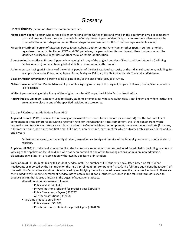### Glossary

#### Race/Ethnicity (definitions from the Common Data Set)

- **Nonresident alien:** A person who is not a citizen or national of the United States and who is in this country on a visa or temporary basis and does not have the right to remain indefinitely. (Note: A person identifying as a non-resident alien may not be counted in the other categories below. These categories are reserved for U.S. citizens or legal residents alone.)
- **Hispanic or Latino:** A person of Mexican, Puerto Rican, Cuban, South or Central American, or other Spanish culture, or origin, regardless of race. (Note: Under IPEDS and CDS guidelines, if a person identifies as Hispanic, then that person *must* be identified as Hispanic, regardless of other racial or ethnic identification.
- **American Indian or Alaska Native:** A person having origins in any of the original peoples of North and South America (including Central America) and maintaining tribal affiliation or community attachment.
- **Asian:** A person having origins in any of the original peoples of the Far East, Southeast Asia, or the Indian subcontinent, including, for example, Cambodia, China, India, Japan, Korea, Malaysia, Pakistan, the Philippine Islands, Thailand, and Vietnam.
- **Black or African American***:* A person having origins in any of the black racial groups of Africa.
- **Native Hawaiian or Other Pacific Islander:** A person having origins in any of the original peoples of Hawaii, Guam, Samoa, or other Pacific Islands.
- **White:** A person having origins in any of the original peoples of Europe, the Middle East, or North Africa.
- **Race/ethnicity unknown:** Category used to classify students or employees whose race/ethnicity is not known and whom institutions are unable to place in one of the specified racial/ethnic categories.

#### Student Categories (definitions from IPEDS)

**Adjusted cohort** (IPEDS) The result of removing any allowable exclusions from a cohort (or sub-cohort). For the Fall Enrollment component, it is the cohort for calculating retention rate; for the Graduation Rates component, this is the cohort from which graduation and transfer-out rates are calculated; and for the Outcome Measures component, these are the four cohorts (first-time, full-time; first-time, part-time; non-first-time, full-time; or non-first-time, part-time) for which outcomes rates are calculated at 4, 6, and 8 years.

*Exclusions*: deceased, permanently disabled, armed forces, foreign aid service of the federal government, or official church missions.

**Applicant** (IPEDS) An individual who has fulfilled the institution's requirements to be considered for admission (including payment or waiving of the application fee, if any) and who has been notified of one of the following actions: admission, non-admission, placement on waiting list, or application withdrawn by applicant or institution.

**Calculation of FTE students** (using fall student headcounts): The number of FTE students is calculated based on fall student headcounts as reported by the institution on the IPEDS Enrollment (EF) component (Part A). The full-time equivalent (headcount) of the institution's part-time enrollment is estimated by multiplying the factors noted below times the part-time headcount. These are then added to the full-time enrollment headcounts to obtain an FTE for all students enrolled in the fall. This formula is used to produce an FTE that is used annually in the Digest of Education Statistics.

- Part-time undergraduate enrollment
	- Public 4-year (.403543)
	- Private (not-for-profit and for-profit) 4-year (.392857)
	- Public 2-year and <2-year (.335737)
	- All other institutions (.397058)
- Part-time graduate enrollment
	- Public 4-year (.361702)
	- Private (not-for-profit and for-profit) 4-year (.382059)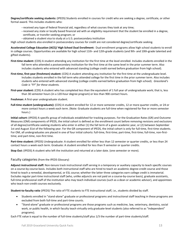**Degree/certificate seeking students:** (IPEDS) Students enrolled in courses for credit who are seeking a degree, certificate, or other formal award. This includes students who:

- **-** received any type of federal financial aid, regardless of what courses they took at any time;
- **-** received any state or locally based financial aid with an eligibility requirement that the student be enrolled in a degree, certificate, or transfer-seeking program; or
- **-** obtained a student visa to study at a U.S. postsecondary institution

High school students also enrolled in postsecondary courses for credit are not considered degree/certificate seeking.

**Accelerated College Education (ACE)/ High School Dual Enrollment:** Dual enrollment programs allow high school students to enroll in college courses. Opportunities are available for high school 11th- and 12th-grade students (and 9th- and 10th-grade talented and gifted students).

- **First-time student:** (CDS) A student attending any institution for the first time at the level enrolled. Includes students enrolled in the fall term who attended a postsecondary institution for the first time at the same level in the prior summer term. Also includes students who entered with advanced standing (college credit earned before graduation from high school).
- First-time, first-year (freshmen) student: (CDS) A student attending any institution for the first time at the undergraduate level. Includes students enrolled in the fall term who attended college for the first time in the prior summer term. Also includes students who entered with advanced standing (college credits earned before graduation from high school). *Graceland's Code is "FF" for these students.*
- **First-year student:** (CDS) A student who has completed less than the equivalent of 1 full year of undergraduate work; that is, less than 30 semester hours (in a 120-hour degree program) or less than 900 contact hours.

**Freshman:** A first-year undergraduate student.

**Full-time student (undergraduate):** (CDS) A student enrolled for 12 or more semester credits, 12 or more quarter credits, or 24 or more contact hours a week each term. (Note: Graduate students are full-time when registered for five or more semester hours.)

**Initial cohort:** (IPEDS) A specific group of individuals established for tracking purposes. For the Graduation Rates (GR) and Outcome Measures (OM) components of IPEDS, the initial cohort is defined as the enrollment count before removing revisions and exclusions of all degree/certificate-seeking students who enter in either (1) the fall term of a given academic year, or (2) between September 1st and August 31st of the following year. For the GR component of IPEDS, the initial cohort is only for full-time, first-time students. For OM, all undergraduates are placed in one of four initial cohorts: full-time, first-time; part-time, first-time; full-time, non-firsttime; and part-time, non-first time.

**Part-time student:** (IPEDS) Undergraduate: A student enrolled for either less than 12 semester or quarter credits, or less than 24 contact hours a week each term. Graduate: A student enrolled for less than 9 semester or quarter credits.

**Stop Out:** (IPEDS) A student who left the institution and returned at a later date. (one semester or more).

#### Faculty categories(from the IPEDS Glossary)

**Adjunct instructional staff:** Non-tenure track instructional staff serving in a temporary or auxiliary capacity to teach specific courses on a course-by-course basis. Includes both instructional staff who are hired to teach an academic degree-credit course and those hired to teach a remedial, developmental, or ESL course; whether the latter three categories earn college credit is immaterial. Excludes regular part-time instructional staff (who, unlike adjuncts are not paid on a course-by-course basis), graduate assistants, full-time professional staff of the institution who may teach individual courses (such as a dean or academic advisor), and appointees who teach non-credit courses exclusively.

**Student-to-faculty ratio** (IPEDS) The ratio of FTE students to FTE instructional staff, i.e., students divided by staff.

- Students enrolled in "stand-alone" graduate or professional programs and instructional staff teaching in these programs are excluded from both full-time and part-time counts.
- "Stand-alone" graduate or professional programs are those programs such as medicine, law, veterinary, dentistry, social work, or public health, in which faculty teach virtually only graduate-level students (also referred to as "independent" programs).

Each FTE value is equal to the number of full-time students/staff plus 1/3 the number of part-time students/staff.